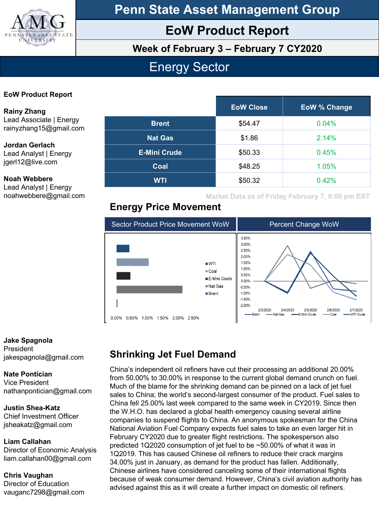

**Penn State Asset Management Group**

# **EoW Product Report**

**Week of February 3 – February 7 CY2020**

# Energy Sector

#### **EoW Product Report**

noahwebbere@gmail.com

| <b>Rainy Zhang</b>                                          |                     | <b>EoW Close</b> | <b>EoW % Change</b> |
|-------------------------------------------------------------|---------------------|------------------|---------------------|
| Lead Associate   Energy<br>rainyzhang15@gmail.com           | <b>Brent</b>        | \$54.47          | $0.04\%$            |
| Jordan Gerlach<br>Lead Analyst   Energy<br>jgerI12@live.com | <b>Nat Gas</b>      | \$1.86           | 2.14%               |
|                                                             | <b>E-Mini Crude</b> | \$50.33          | 0.45%               |
|                                                             | Coal                | \$48.25          | 1.05%               |
| <b>Noah Webbere</b><br>Lead Analyst   Energy                | <b>WTI</b>          | \$50.32          | 0.42%               |

**Market Data as of Friday February 7, 6:00 pm EST**

## **Energy Price Movement**



**Jake Spagnola President** jakespagnola@gmail.com

#### **Nate Pontician**

Vice President nathanpontician@gmail.com

**Justin Shea-Katz** Chief Investment Officer jsheakatz@gmail.com

**Liam Callahan** Director of Economic Analysis liam.callahan00@gmail.com

**Chris Vaughan** Director of Education vauganc7298@gmail.com

## **Shrinking Jet Fuel Demand**

China's independent oil refiners have cut their processing an additional 20.00% from 50.00% to 30.00% in response to the current global demand crunch on fuel. Much of the blame for the shrinking demand can be pinned on a lack of jet fuel sales to China; the world's second-largest consumer of the product. Fuel sales to China fell 25.00% last week compared to the same week in CY2019. Since then the W.H.O. has declared a global health emergency causing several airline companies to suspend flights to China. An anonymous spokesman for the China National Aviation Fuel Company expects fuel sales to take an even larger hit in February CY2020 due to greater flight restrictions. The spokesperson also predicted 1Q2020 consumption of jet fuel to be ~50.00% of what it was in 1Q2019. This has caused Chinese oil refiners to reduce their crack margins 34.00% just in January, as demand for the product has fallen. Additionally, Chinese airlines have considered canceling some of their international flights because of weak consumer demand. However, China's civil aviation authority has advised against this as it will create a further impact on domestic oil refiners.